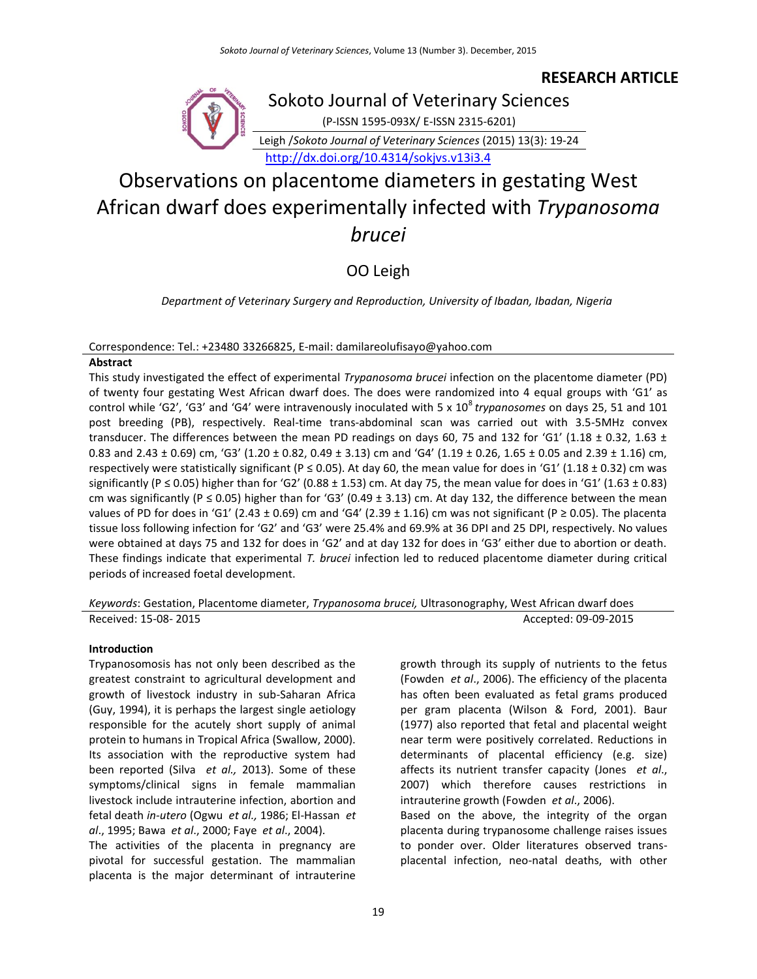## **RESEARCH ARTICLE**



Sokoto Journal of Veterinary Sciences

(P-ISSN 1595-093X/ E-ISSN 2315-6201)

Leigh /*Sokoto Journal of Veterinary Sciences* (2015) 13(3): 19-24

<http://dx.doi.org/10.4314/sokjvs.v13i3.4>

# Observations on placentome diameters in gestating West African dwarf does experimentally infected with *Trypanosoma brucei*

OO Leigh

*Department of Veterinary Surgery and Reproduction, University of Ibadan, Ibadan, Nigeria*

#### Correspondence: Tel.: +23480 33266825, E-mail: damilareolufisayo@yahoo.com

#### **Abstract**

This study investigated the effect of experimental *Trypanosoma brucei* infection on the placentome diameter (PD) of twenty four gestating West African dwarf does. The does were randomized into 4 equal groups with 'G1' as control while 'G2', 'G3' and 'G4' were intravenously inoculated with 5 x 10<sup>8</sup> trypanosomes on days 25, 51 and 101 post breeding (PB), respectively. Real-time trans-abdominal scan was carried out with 3.5-5MHz convex transducer. The differences between the mean PD readings on days 60, 75 and 132 for 'G1' (1.18  $\pm$  0.32, 1.63  $\pm$ 0.83 and 2.43  $\pm$  0.69) cm, 'G3' (1.20  $\pm$  0.82, 0.49  $\pm$  3.13) cm and 'G4' (1.19  $\pm$  0.26, 1.65  $\pm$  0.05 and 2.39  $\pm$  1.16) cm, respectively were statistically significant (P  $\leq$  0.05). At day 60, the mean value for does in 'G1' (1.18  $\pm$  0.32) cm was significantly (P  $\leq$  0.05) higher than for 'G2' (0.88  $\pm$  1.53) cm. At day 75, the mean value for does in 'G1' (1.63  $\pm$  0.83) cm was significantly (P  $\leq$  0.05) higher than for 'G3' (0.49  $\pm$  3.13) cm. At day 132, the difference between the mean values of PD for does in 'G1' (2.43 ± 0.69) cm and 'G4' (2.39 ± 1.16) cm was not significant (P ≥ 0.05). The placenta tissue loss following infection for 'G2' and 'G3' were 25.4% and 69.9% at 36 DPI and 25 DPI, respectively. No values were obtained at days 75 and 132 for does in 'G2' and at day 132 for does in 'G3' either due to abortion or death. These findings indicate that experimental *T. brucei* infection led to reduced placentome diameter during critical periods of increased foetal development.

*Keywords*: Gestation, Placentome diameter, *Trypanosoma brucei,* Ultrasonography, West African dwarf does Received: 15-08- 2015 **Accepted: 09-09-2015** Accepted: 09-09-2015

#### **Introduction**

Trypanosomosis has not only been described as the greatest constraint to agricultural development and growth of livestock industry in sub-Saharan Africa (Guy, 1994), it is perhaps the largest single aetiology responsible for the acutely short supply of animal protein to humans in Tropical Africa (Swallow, 2000). Its association with the reproductive system had been reported (Silva *et al.,* 2013). Some of these symptoms/clinical signs in female mammalian livestock include intrauterine infection, abortion and fetal death *in-utero* (Ogwu *et al.,* 1986; El-Hassan *et al*., 1995; Bawa *et al*., 2000; Faye *et al*., 2004).

The activities of the placenta in pregnancy are pivotal for successful gestation. The mammalian placenta is the major determinant of intrauterine growth through its supply of nutrients to the fetus (Fowden *et al*., 2006). The efficiency of the placenta has often been evaluated as fetal grams produced per gram placenta (Wilson & Ford, 2001). Baur (1977) also reported that fetal and placental weight near term were positively correlated. Reductions in determinants of placental efficiency (e.g. size) affects its nutrient transfer capacity (Jones *et al*., 2007) which therefore causes restrictions in intrauterine growth (Fowden *et al*., 2006). Based on the above, the integrity of the organ

placenta during trypanosome challenge raises issues to ponder over. Older literatures observed transplacental infection, neo-natal deaths, with other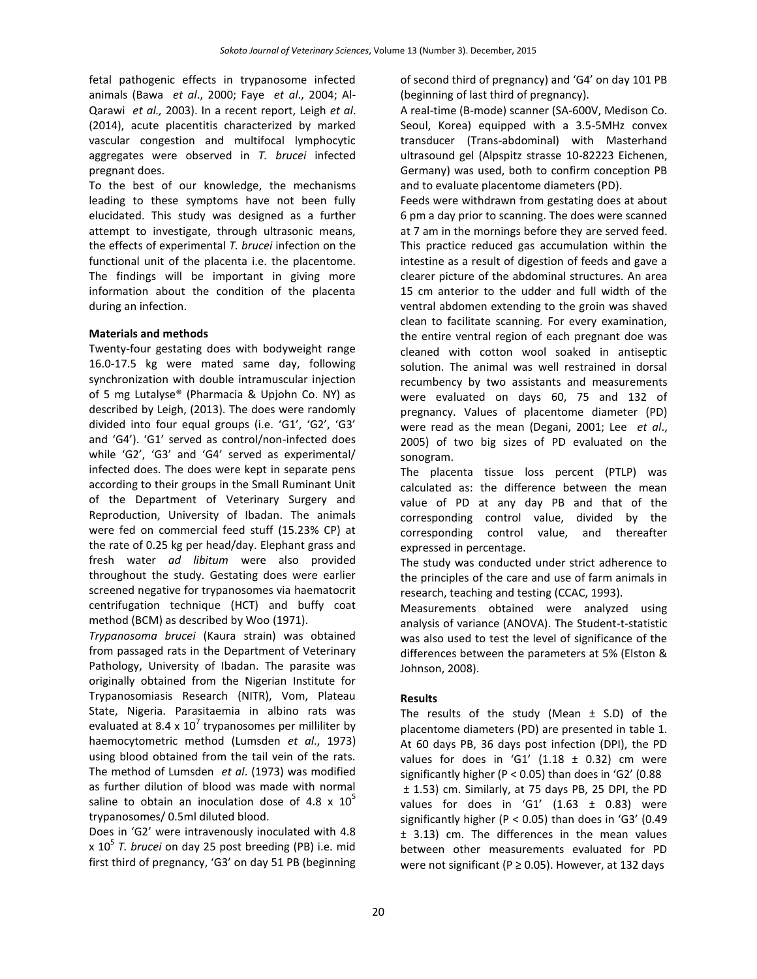fetal pathogenic effects in trypanosome infected animals (Bawa *et al*., 2000; Faye *et al*., 2004; Al-Qarawi *et al.,* 2003). In a recent report, Leigh *et al*. (2014), acute placentitis characterized by marked vascular congestion and multifocal lymphocytic aggregates were observed in *T. brucei* infected pregnant does.

To the best of our knowledge, the mechanisms leading to these symptoms have not been fully elucidated. This study was designed as a further attempt to investigate, through ultrasonic means, the effects of experimental *T. brucei* infection on the functional unit of the placenta i.e. the placentome. The findings will be important in giving more information about the condition of the placenta during an infection.

### **Materials and methods**

Twenty-four gestating does with bodyweight range 16.0-17.5 kg were mated same day, following synchronization with double intramuscular injection of 5 mg Lutalyse® (Pharmacia & Upjohn Co. NY) as described by Leigh, (2013). The does were randomly divided into four equal groups (i.e. 'G1', 'G2', 'G3' and 'G4'). 'G1' served as control/non-infected does while 'G2', 'G3' and 'G4' served as experimental/ infected does. The does were kept in separate pens according to their groups in the Small Ruminant Unit of the Department of Veterinary Surgery and Reproduction, University of Ibadan. The animals were fed on commercial feed stuff (15.23% CP) at the rate of 0.25 kg per head/day. Elephant grass and fresh water *ad libitum* were also provided throughout the study. Gestating does were earlier screened negative for trypanosomes via haematocrit centrifugation technique (HCT) and buffy coat method (BCM) as described by Woo (1971).

*Trypanosoma brucei* (Kaura strain) was obtained from passaged rats in the Department of Veterinary Pathology, University of Ibadan. The parasite was originally obtained from the Nigerian Institute for Trypanosomiasis Research (NITR), Vom, Plateau State, Nigeria. Parasitaemia in albino rats was evaluated at 8.4 x  $10^7$  trypanosomes per milliliter by haemocytometric method (Lumsden *et al*., 1973) using blood obtained from the tail vein of the rats. The method of Lumsden *et al*. (1973) was modified as further dilution of blood was made with normal saline to obtain an inoculation dose of 4.8 x  $10^5$ trypanosomes/ 0.5ml diluted blood.

Does in 'G2' were intravenously inoculated with 4.8 x 10<sup>5</sup> *T. brucei* on day 25 post breeding (PB) i.e. mid first third of pregnancy, 'G3' on day 51 PB (beginning

of second third of pregnancy) and 'G4' on day 101 PB (beginning of last third of pregnancy).

A real-time (B-mode) scanner (SA-600V, Medison Co. Seoul, Korea) equipped with a 3.5-5MHz convex transducer (Trans-abdominal) with Masterhand ultrasound gel (Alpspitz strasse 10-82223 Eichenen, Germany) was used, both to confirm conception PB and to evaluate placentome diameters (PD).

Feeds were withdrawn from gestating does at about 6 pm a day prior to scanning. The does were scanned at 7 am in the mornings before they are served feed. This practice reduced gas accumulation within the intestine as a result of digestion of feeds and gave a clearer picture of the abdominal structures. An area 15 cm anterior to the udder and full width of the ventral abdomen extending to the groin was shaved clean to facilitate scanning. For every examination, the entire ventral region of each pregnant doe was cleaned with cotton wool soaked in antiseptic solution. The animal was well restrained in dorsal recumbency by two assistants and measurements were evaluated on days 60, 75 and 132 of pregnancy. Values of placentome diameter (PD) were read as the mean (Degani, 2001; Lee *et al*., 2005) of two big sizes of PD evaluated on the sonogram.

The placenta tissue loss percent (PTLP) was calculated as: the difference between the mean value of PD at any day PB and that of the corresponding control value, divided by the corresponding control value, and thereafter expressed in percentage.

The study was conducted under strict adherence to the principles of the care and use of farm animals in research, teaching and testing (CCAC, 1993).

Measurements obtained were analyzed using analysis of variance (ANOVA). The Student-t-statistic was also used to test the level of significance of the differences between the parameters at 5% (Elston & Johnson, 2008).

### **Results**

The results of the study (Mean  $\pm$  S.D) of the placentome diameters (PD) are presented in table 1. At 60 days PB, 36 days post infection (DPI), the PD values for does in 'G1'  $(1.18 \pm 0.32)$  cm were significantly higher (P < 0.05) than does in 'G2' (0.88 ± 1.53) cm. Similarly, at 75 days PB, 25 DPI, the PD values for does in 'G1'  $(1.63 \pm 0.83)$  were significantly higher (P < 0.05) than does in 'G3' (0.49 ± 3.13) cm. The differences in the mean values between other measurements evaluated for PD were not significant (P  $\geq$  0.05). However, at 132 days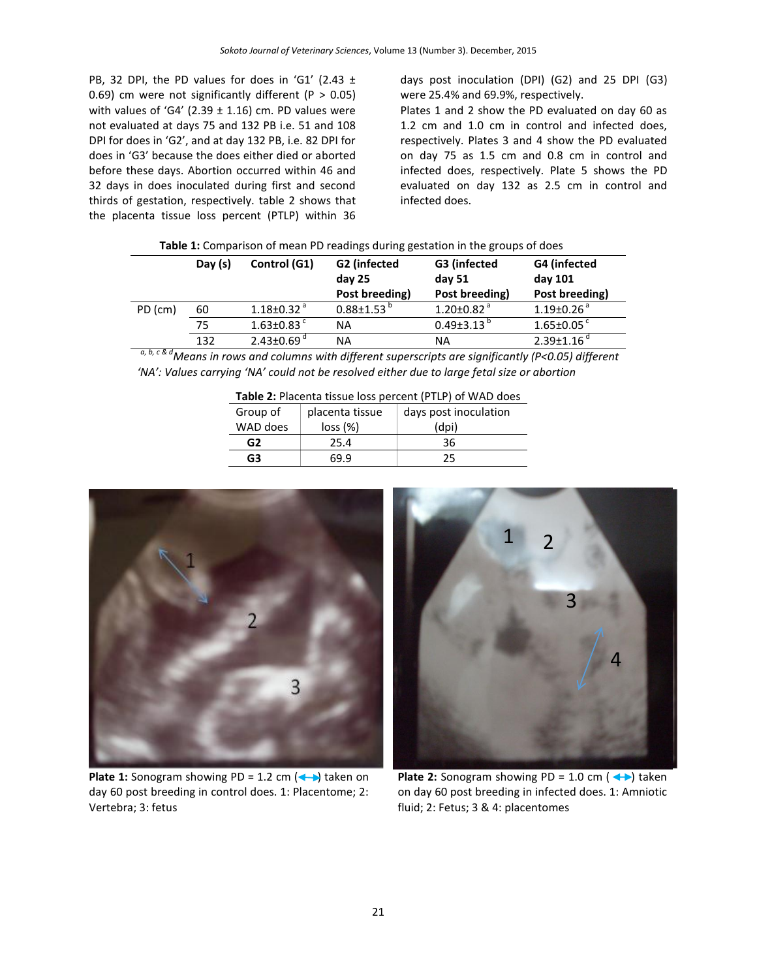PB, 32 DPI, the PD values for does in 'G1' (2.43 ± 0.69) cm were not significantly different ( $P > 0.05$ ) with values of 'G4' (2.39  $\pm$  1.16) cm. PD values were not evaluated at days 75 and 132 PB i.e. 51 and 108 DPI for does in 'G2', and at day 132 PB, i.e. 82 DPI for does in 'G3' because the does either died or aborted before these days. Abortion occurred within 46 and 32 days in does inoculated during first and second thirds of gestation, respectively. table 2 shows that the placenta tissue loss percent (PTLP) within 36

days post inoculation (DPI) (G2) and 25 DPI (G3) were 25.4% and 69.9%, respectively.

Plates 1 and 2 show the PD evaluated on day 60 as 1.2 cm and 1.0 cm in control and infected does, respectively. Plates 3 and 4 show the PD evaluated on day 75 as 1.5 cm and 0.8 cm in control and infected does, respectively. Plate 5 shows the PD evaluated on day 132 as 2.5 cm in control and infected does.

| Table 1: Comparison of mean PD readings during gestation in the groups of does |  |  |
|--------------------------------------------------------------------------------|--|--|
|--------------------------------------------------------------------------------|--|--|

|         | Day $(s)$ | Control (G1)                 | G2 (infected<br>day 25<br>Post breeding) | G3 (infected<br>day 51<br>Post breeding) | G4 (infected<br>day 101<br>Post breeding) |
|---------|-----------|------------------------------|------------------------------------------|------------------------------------------|-------------------------------------------|
| PD (cm) | 60        | $1.18 \pm 0.32$ <sup>a</sup> | $0.88 \pm 1.53$ <sup>b</sup>             | $1.20 \pm 0.82$ <sup>a</sup>             | $1.19\pm0.26$ <sup>a</sup>                |
|         | 75        | $1.63 \pm 0.83$ <sup>c</sup> | ΝA                                       | $0.49\pm3.13^{D}$                        | $1.65 \pm 0.05$                           |
|         | 132       | $2.43 \pm 0.69$ <sup>d</sup> | ΝA                                       | ΝA                                       | $2.39 \pm 1.16$                           |

 *a, b, c & dMeans in rows and columns with different superscripts are significantly (P<0.05) different 'NA': Values carrying 'NA' could not be resolved either due to large fetal size or abortion*

| <b>Table 2.</b> Flaterita tissue loss pertent (FTLF) or WAD does |                 |                       |  |  |
|------------------------------------------------------------------|-----------------|-----------------------|--|--|
| Group of                                                         | placenta tissue | days post inoculation |  |  |
| WAD does                                                         | loss (%)        | (dpi)                 |  |  |
| G2                                                               | 25.4            | 36                    |  |  |
| G3                                                               | 69.9            | 25                    |  |  |
|                                                                  |                 |                       |  |  |

**Table 2:** Placenta tissue loss percent (PTLP) of WAD does



**Plate 1:** Sonogram showing PD = 1.2 cm  $(\rightarrow)$  taken on day 60 post breeding in control does. 1: Placentome; 2: Vertebra; 3: fetus



**Plate 2:** Sonogram showing PD =  $1.0 \text{ cm } (-)$  taken on day 60 post breeding in infected does. 1: Amniotic fluid; 2: Fetus; 3 & 4: placentomes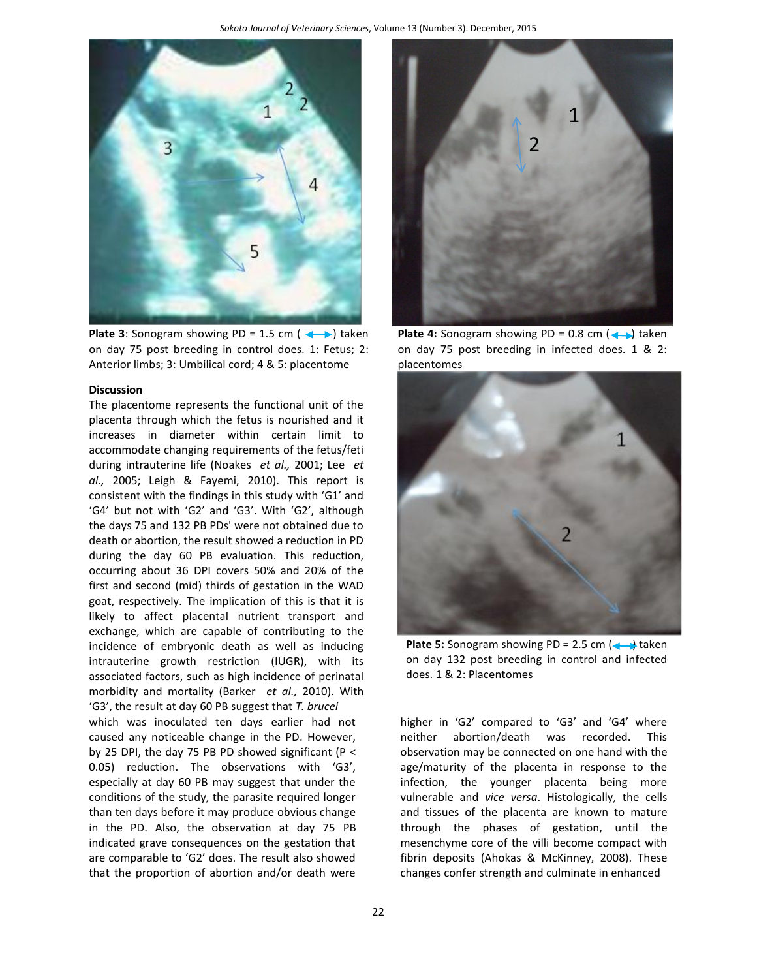

**Plate 3**: Sonogram showing PD = 1.5 cm  $($   $\rightarrow$   $)$  taken on day 75 post breeding in control does. 1: Fetus; 2: Anterior limbs; 3: Umbilical cord; 4 & 5: placentome

#### **Discussion**

The placentome represents the functional unit of the placenta through which the fetus is nourished and it increases in diameter within certain limit to accommodate changing requirements of the fetus/feti during intrauterine life (Noakes *et al.,* 2001; Lee *et al.,* 2005; Leigh & Fayemi, 2010). This report is consistent with the findings in this study with 'G1' and 'G4' but not with 'G2' and 'G3'. With 'G2', although the days 75 and 132 PB PDs' were not obtained due to death or abortion, the result showed a reduction in PD during the day 60 PB evaluation. This reduction, occurring about 36 DPI covers 50% and 20% of the first and second (mid) thirds of gestation in the WAD goat, respectively. The implication of this is that it is likely to affect placental nutrient transport and exchange, which are capable of contributing to the incidence of embryonic death as well as inducing intrauterine growth restriction (IUGR), with its associated factors, such as high incidence of perinatal morbidity and mortality (Barker *et al.,* 2010). With 'G3', the result at day 60 PB suggest that *T. brucei* which was inoculated ten days earlier had not caused any noticeable change in the PD. However, by 25 DPI, the day 75 PB PD showed significant (P  $\leq$ 0.05) reduction. The observations with 'G3', especially at day 60 PB may suggest that under the conditions of the study, the parasite required longer than ten days before it may produce obvious change in the PD. Also, the observation at day 75 PB indicated grave consequences on the gestation that are comparable to 'G2' does. The result also showed that the proportion of abortion and/or death were



**Plate 4:** Sonogram showing PD =  $0.8$  cm  $\left(\leftarrow\right)$  taken on day 75 post breeding in infected does. 1 & 2: placentomes



**Plate 5:** Sonogram showing PD = 2.5 cm  $\left(\leftarrow\right)$  taken on day 132 post breeding in control and infected does. 1 & 2: Placentomes

higher in 'G2' compared to 'G3' and 'G4' where neither abortion/death was recorded. This observation may be connected on one hand with the age/maturity of the placenta in response to the infection, the younger placenta being more vulnerable and *vice versa*. Histologically, the cells and tissues of the placenta are known to mature through the phases of gestation, until the mesenchyme core of the villi become compact with fibrin deposits (Ahokas & McKinney, 2008). These changes confer strength and culminate in enhanced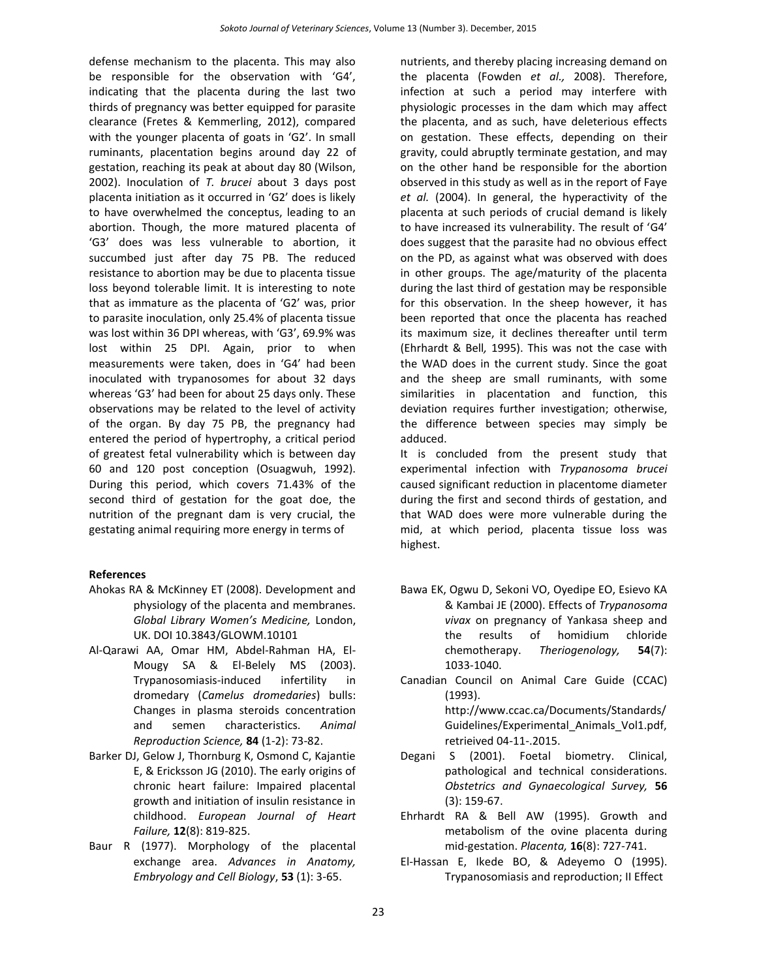defense mechanism to the placenta. This may also be responsible for the observation with 'G4', indicating that the placenta during the last two thirds of pregnancy was better equipped for parasite clearance (Fretes & Kemmerling, 2012), compared with the younger placenta of goats in 'G2'. In small ruminants, placentation begins around day 22 of gestation, reaching its peak at about day 80 (Wilson, 2002). Inoculation of *T. brucei* about 3 days post placenta initiation as it occurred in 'G2' does is likely to have overwhelmed the conceptus, leading to an abortion. Though, the more matured placenta of 'G3' does was less vulnerable to abortion, it succumbed just after day 75 PB. The reduced resistance to abortion may be due to placenta tissue loss beyond tolerable limit. It is interesting to note that as immature as the placenta of 'G2' was, prior to parasite inoculation, only 25.4% of placenta tissue was lost within 36 DPI whereas, with 'G3', 69.9% was lost within 25 DPI. Again, prior to when measurements were taken, does in 'G4' had been inoculated with trypanosomes for about 32 days whereas 'G3' had been for about 25 days only. These observations may be related to the level of activity of the organ. By day 75 PB, the pregnancy had entered the period of hypertrophy, a critical period of greatest fetal vulnerability which is between day 60 and 120 post conception (Osuagwuh, 1992). During this period, which covers 71.43% of the second third of gestation for the goat doe, the nutrition of the pregnant dam is very crucial, the gestating animal requiring more energy in terms of

#### **References**

- Ahokas RA & McKinney ET (2008). Development and physiology of the placenta and membranes. *Global Library Women's Medicine,* London, UK. DOI 10.3843/GLOWM.10101
- Al-Qarawi AA, Omar HM, Abdel-Rahman HA, El-Mougy SA & El-Belely MS (2003). Trypanosomiasis-induced infertility in dromedary (*Camelus dromedaries*) bulls: Changes in plasma steroids concentration and semen characteristics. *Animal Reproduction Science,* **84** (1-2): 73-82.
- Barker DJ, Gelow J, Thornburg K, Osmond C, Kajantie E, & Ericksson JG (2010). The early origins of chronic heart failure: Impaired placental growth and initiation of insulin resistance in childhood. *European Journal of Heart Failure,* **12**(8): 819-825.
- Baur R (1977). Morphology of the placental exchange area. *Advances in Anatomy, Embryology and Cell Biology*, **53** (1): 3-65.

nutrients, and thereby placing increasing demand on the placenta (Fowden *et al.,* 2008). Therefore, infection at such a period may interfere with physiologic processes in the dam which may affect the placenta, and as such, have deleterious effects on gestation. These effects, depending on their gravity, could abruptly terminate gestation, and may on the other hand be responsible for the abortion observed in this study as well as in the report of Faye *et al.* (2004). In general, the hyperactivity of the placenta at such periods of crucial demand is likely to have increased its vulnerability. The result of 'G4' does suggest that the parasite had no obvious effect on the PD, as against what was observed with does in other groups. The age/maturity of the placenta during the last third of gestation may be responsible for this observation. In the sheep however, it has been reported that once the placenta has reached its maximum size, it declines thereafter until term (Ehrhardt & Bell*,* 1995). This was not the case with the WAD does in the current study. Since the goat and the sheep are small ruminants, with some similarities in placentation and function, this deviation requires further investigation; otherwise, the difference between species may simply be adduced.

It is concluded from the present study that experimental infection with *Trypanosoma brucei* caused significant reduction in placentome diameter during the first and second thirds of gestation, and that WAD does were more vulnerable during the mid, at which period, placenta tissue loss was highest.

- Bawa EK, Ogwu D, Sekoni VO, Oyedipe EO, Esievo KA & Kambai JE (2000). Effects of *Trypanosoma vivax* on pregnancy of Yankasa sheep and the results of homidium chloride chemotherapy. *Theriogenology,* **54**(7): 1033-1040.
- Canadian Council on Animal Care Guide (CCAC) (1993).

[http://www.ccac.ca/Documents/Standards/](http://www.ccac.ca/Documents/Standards/Guidelines/Experimental_Animals_Vol1.pdf,retrieived) [Guidelines/Experimental\\_Animals\\_Vol1.pdf,](http://www.ccac.ca/Documents/Standards/Guidelines/Experimental_Animals_Vol1.pdf,retrieived) [retrieived](http://www.ccac.ca/Documents/Standards/Guidelines/Experimental_Animals_Vol1.pdf,retrieived) 04-11-.2015.

- Degani S (2001). Foetal biometry. Clinical, pathological and technical considerations. *Obstetrics and Gynaecological Survey,* **56** (3): 159-67.
- Ehrhardt RA & Bell AW (1995). Growth and metabolism of the ovine placenta during mid-gestation. *Placenta,* **16**(8): 727-741.
- El-Hassan E, Ikede BO, & Adeyemo O (1995). Trypanosomiasis and reproduction; II Effect